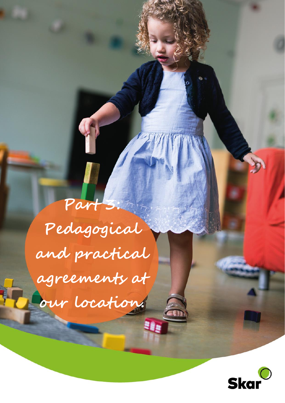**Part 3: Pedagogical and practical agreements at our location.**

u<sub>i</sub>

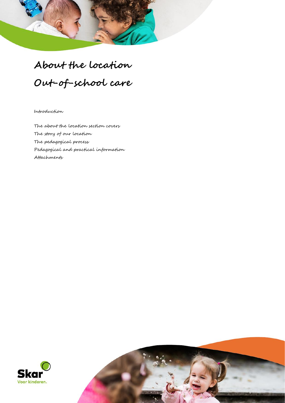# **About the location Out-of-school care**

Introduction

The about the location section covers The story of our location The pedagogical process Pedagogical and practical information Attachments



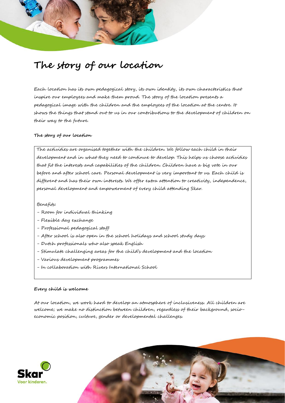## **The story of our location**

Each location has its own pedagogical story, its own identity, its own characteristics that inspire our employees and make them proud. The story of the location presents a pedagogical image with the children and the employees of the location at the centre. It shows the things that stand out to us in our contributions to the development of children on their way to the future.

#### **The story of our location**

The activities are organised together with the children. We follow each child in their development and in what they need to continue to develop. This helps us choose activities that fit the interests and capabilities of the children. Children have a big vote in our before and after school care. Personal development is very important to us. Each child is different and has their own interests. We offer extra attention to creativity, independence, personal development and empowerment of every child attending Skar.

#### Benefits:

- Room for individual thinking
- Flexible day exchange
- Professional pedagogical staff
- After school is also open in the school holidays and school study days
- Dutch professionals who also speak English
- Stimulate challenging areas for the child's development and the location
- Various development programmes
- In collaboration with Rivers International School

#### **Every child is welcome**

At our location, we work hard to develop an atmosphere of inclusiveness. All children are welcome; we make no distinction between children, regardless of their background, socioeconomic position, culture, gender or developmental challenges.



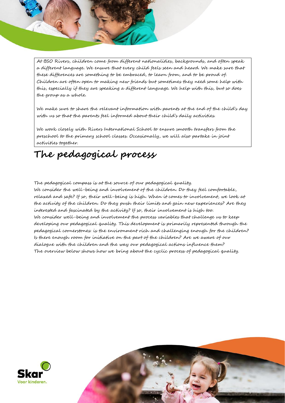At BSO Rivers, children come from different nationalities, backgrounds, and often speak a different language. We ensure that every child feels seen and heard. We make sure that these differences are something to be embraced, to learn from, and to be proud of. Children are often open to making new friends but sometimes they need some help with this, especially if they are speaking a different language. We help with this, but so does the group as a whole.

We make sure to share the relevant information with parents at the end of the child's day with us so that the parents feel informed about their child's daily activities.

We work closely with Rivers International School to ensure smooth transfers from the preschool to the primary school classes. Occasionally, we will also partake in joint activities together.

### **The pedagogical process**

The pedagogical compass is at the source of our pedagogical quality.

We consider the well-being and involvement of the children. Do they feel comfortable, relaxed and safe? If so, their well-being is high. When it comes to involvement, we look at the activity of the children. Do they push their limits and gain new experiences? Are they interested and fascinated by the activity? If so, their involvement is high too. We consider well-being and involvement the process variables that challenge us to keep developing our pedagogical quality. This development is primarily represented through the pedagogical cornerstones: is the environment rich and challenging enough for the children? Is there enough room for initiative on the part of the children? Are we aware of our dialogue with the children and the way our pedagogical actions influence them? The overview below shows how we bring about the cyclic process of pedagogical quality.



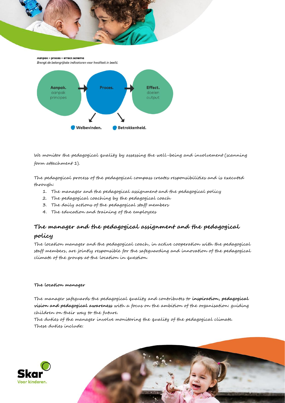AGNDGK - proces - errect schema Brengt de belangrijkste indicatoren voor kwaliteit in beeld.



We monitor the pedagogical quality by assessing the well-being and involvement (scanning form attachment 1).

The pedagogical process of the pedagogical compass creates responsibilities and is executed through:

- 1. The manager and the pedagogical assignment and the pedagogical policy
- 2. The pedagogical coaching by the pedagogical coach
- 3. The daily actions of the pedagogical staff members
- 4. The education and training of the employees

### **The manager and the pedagogical assignment and the pedagogical**

#### **policy**

The location manager and the pedagogical coach, in active cooperation with the pedagogical staff members, are jointly responsible for the safeguarding and innovation of the pedagogical climate of the groups at the location in question.

#### **The location manager**

The manager safeguards the pedagogical quality and contributes to **inspiration, pedagogical vision and pedagogical awareness** with a focus on the ambition of the organisation: guiding children on their way to the future.

The duties of the manager involve monitoring the quality of the pedagogical climate. These duties include:



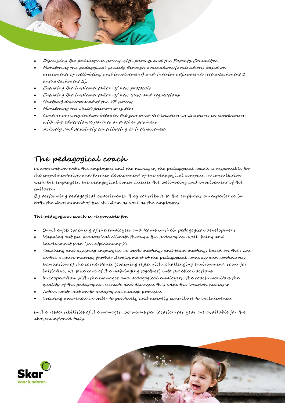

- Discussing the pedagogical policy with parents and the Parent's Committee
- Monitoring the pedagogical quality through evaluations (evaluations based on assessments of well-being and involvement) and interim adjustments (see attachment 1 and attachment 2).
- Ensuring the implementation of new protocols
- Ensuring the implementation of new laws and regulations
- (further) development of the VE policy
- Monitoring the child follow-up system
- Continuous cooperation between the groups at the location in question, in cooperation with the educational partner and other partners
- Actively and positively contributing to inclusiveness

### **The pedagogical coach**

In cooperation with the employees and the manager, the pedagogical coach is responsible for the implementation and further development of the pedagogical compass. In consultation with the employees, the pedagogical coach assesses the well-being and involvement of the children.

By performing pedagogical experiments, they contribute to the emphasis on experience in both the development of the children as well as the employees.

#### **The pedagogical coach is responsible for:**

- On-the-job coaching of the employees and teams in their pedagogical development
- Mapping out the pedagogical climate through the pedagogical well-being and involvement scan (see attachment 2)
- Coaching and assisting employees in work meetings and team meetings based on the I am in the picture matrix, further development of the pedagogical compass and continuous translation of the cornerstones (coaching style, rich, challenging environment, room for initiative, we take care of the upbringing together) into practical actions
- In cooperation with the manager and pedagogical employees, the coach monitors the quality of the pedagogical climate and discusses this with the location manager
- Active contribution to pedagogical change processes
- Creating awareness in order to positively and actively contribute to inclusiveness

In the responsibilities of the manager, 50 hours per location per year are available for the abovementioned tasks.

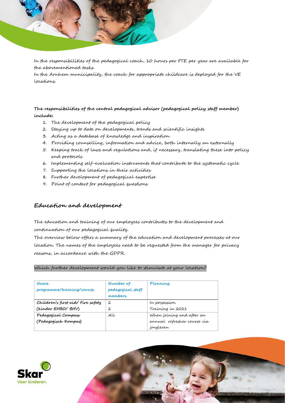

In the responsibilities of the pedagogical coach, 10 hours per FTE per year are available for the abovementioned tasks.

In the Arnhem municipality, the coach for appropriate childcare is deployed for the VE locations.

#### **The responsibilities of the central pedagogical advisor (pedagogical policy staff member) include:**

- 1. The development of the pedagogical policy
- 2. Staying up to date on developments, trends and scientific insights
- 3. Acting as a database of knowledge and inspiration
- 4. Providing counselling, information and advice, both internally an externally
- 5. Keeping track of laws and regulations and, if necessary, translating these into policy and protocols
- 6. Implementing self-evaluation instruments that contribute to the systematic cycle
- 7. Supporting the locations in their activities
- 8. Further development of pedagogical expertise
- 9. Point of contact for pedagogical questions

#### **Education and development**

The education and training of our employees contributes to the development and continuation of our pedagogical quality.

The overview below offers a summary of the education and development processes at our location. The names of the employees need to be requested from the manager for privacy reasons, in accordance with the GDPR.

#### Which further development would you like to stimulate at your location?

| Name<br>programme/training/course.                      | Number of<br>pedagogical staff<br>members. | Planning.                                                             |
|---------------------------------------------------------|--------------------------------------------|-----------------------------------------------------------------------|
| Children's first aid/ Fire safety<br>(kinder EHBO/ BHV) | $\overline{2}$<br>2                        | In possession<br>Training in 2021                                     |
| Pedagogical Compass<br>(Pedagogisch Kompas)             | AU                                         | When joining and after an<br>annual refresher course via<br>jongleren |



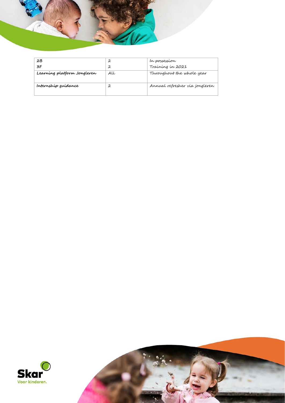

| 2B                          |    | In possession                  |
|-----------------------------|----|--------------------------------|
| 3F                          | 2  | Training in 2021               |
| Learning platform Jongleren | AU | Throughout the whole year      |
|                             |    |                                |
| Internship guidance         |    | Annual refresher via jongleren |
|                             |    |                                |



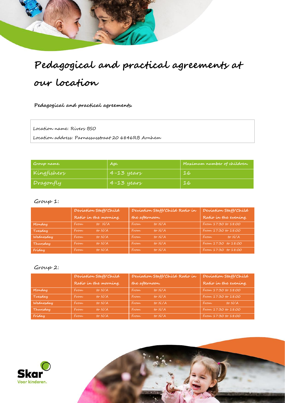# **Pedagogical and practical agreements at our location**

**Pedagogical and practical agreements.**

Location name: Rivers BSO

Location address: Parnassusstraat 20 6846RB Arnhem

| Group name. | Age.           | Maximum number of children. |
|-------------|----------------|-----------------------------|
| Kingfishers | $4 - 13$ years | 16                          |
| Dragonfly   | $4 - 13$ years | 16                          |

#### Group 1:

|           | Deviation Staff/Child |                       | Deviation Staff/Child Ratio in |        | Deviation Staff/Child |        |
|-----------|-----------------------|-----------------------|--------------------------------|--------|-----------------------|--------|
|           |                       | Ratio in the morning. | the afternoon.                 |        | Ratio in the evening. |        |
| Monday    | From                  | to N/A                | From                           | to N/A | From 17:30 to 18:00   |        |
| Tuesday   | From                  | to N/A                | From                           | to N/A | From 17:30 to 18:00   |        |
| Wednesday | From                  | to N/A                | From                           | to N/A | From                  | to N/A |
| Thursday  | From                  | to N/A                | From                           | to N/A | From 17:30 to 18:00   |        |
| Friday    | From                  | to N/A                | From                           | to N/A | From 17:30 to 18:00   |        |

#### Group 2:

|           | Deviation Staff/Child |                       |                | Deviation Staff/Child Ratio in |                       | Deviation Staff/Child |
|-----------|-----------------------|-----------------------|----------------|--------------------------------|-----------------------|-----------------------|
|           |                       | Ratio in the morning. | the afternoon. |                                | Ratio in the evening. |                       |
| Monday    | From                  | to N/A                | From           | to N/A                         | From 17:30 to 18:00   |                       |
| Tuesday   | From                  | to N/A                | From           | to N/A                         | From 17:30 to 18:00   |                       |
| Wednesday | From                  | to N/A                | From           | to N.A                         | From                  | to N/A                |
| Thursday  | From                  | to N/A                | From           | to N/A                         | From 17:30 to 18:00   |                       |
| Friday    | From                  | to N/A                | From           | to N/A                         | From 17:30 to 18:00   |                       |

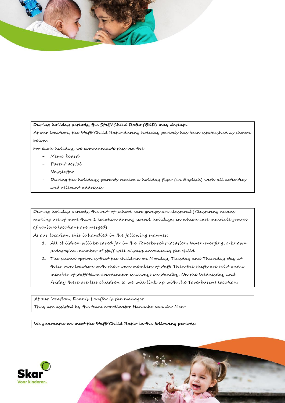

#### **During holiday periods, the Staff/Child Ratio (BKR) may deviate.**

At our location, the Staff/Child Ratio during holiday periods has been established as shown below:

For each holiday, we communicate this via the

- Memo board
- Parent portal
- Newsletter
- During the holidays, parents receive a holiday flyer (in English) with all activities and relevant addresses

During holiday periods, the out-of-school care groups are clustered (Clustering means making use of more than 1 location during school holidays, in which case multiple groups of various locations are merged)

At our location, this is handled in the following manner:

- 1. All children will be cared for in the Toverburcht location. When merging, a known pedagogical member of staff will always accompany the child.
- 2. The second option is that the children on Monday, Tuesday and Thursday stay at their own location with their own members of staff. Then the shifts are split and a member of staff/team coordinator is always on standby. On the Wednesday and Friday there are less children so we will link up with the Toverburcht location.

At our location, Dennis Lauffer is the manager They are assisted by the team coordinator Hanneke van der Meer

**We guarantee we meet the Staff/Child Ratio in the following periods:**



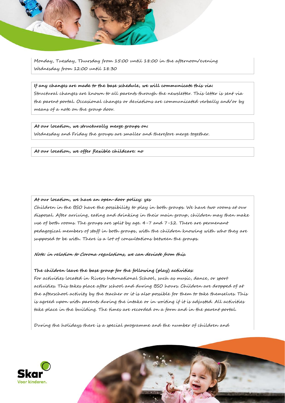Monday, Tuesday, Thursday from 15:00 until 18:00 in the afternoon/evening Wednesday from 12:00 until 18:30

**If any changes are made to the base schedule, we will communicate this via:** 

Structural changes are known to all parents through the newsletter. This letter is sent via the parent portal. Occasional changes or deviations are communicated verbally and/or by means of a note on the group door.

**At our location, we structurally merge groups on:** Wednesday and Friday the groups are smaller and therefore merge together.

**At our location, we offer flexible childcare: no**

**At our location, we have an open-door policy: yes**

Children in the BSO have the possibility to play in both groups. We have two rooms at our disposal. After arriving, eating and drinking in their main group, children may then make use of both rooms. The groups are split by age. 4-7 and 7-12. There are permenant pedagogical members of staff in both groups, with the children knowing with who they are supposed to be with. There is a lot of consultations between the groups.

**Note: in relation to Corona regulations, we can deviate from this.**

#### **The children leave the base group for the following (play) activities:**

For activities located in Rivers International School, such as music, dance, or sport activities. This takes place after school and during BSO hours. Children are dropped of at the afterschool activity by the teacher or it is also possible for them to take themselves. This is agreed upon with parents during the intake or in writing if it is adjusted. All activities take place in the building. The times are recorded on a form and in the parent portal.

During the holidays there is a special programme and the number of children and

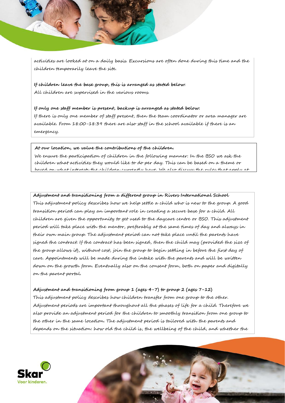activities are looked at on a daily basis. Excursions are often done during this time and the children temporarily leave the site.

**If children leave the base group, this is arranged as stated below:** All children are supervised in the various rooms.

**If only one staff member is present, backup is arranged as stated below:** If there is only one member of staff present, then the team coordinator or area manager are available. From 18:00-18:39 there are also staff in the school available if there is an emergency.

#### **At our location, we value the contributions of the children.**

We ensure the participation of children in the following manner: In the BSO we ask the children what activities they would like to do per day. This can be based on a theme or based on what interests the children currently have. We also discuss the rules that apply at

#### **Adjustment and transitioning from a different group in Rivers International School**

This adjustment policy describes how we help settle a child who is new to the group. A good transition period can play an important role in creating a secure base for a child. All children are given the opportunity to get used to the daycare centre or BSO. This adjustment period will take place with the mentor, preferably at the same times of day and always in their own main group. The adjustment period can not take place until the parents have signed the contract. If the contract has been signed, then the child may (provided the size of the group allows it), without cost, join the group to begin settling in before the first day of care. Appointments will be made during the intake with the parents and will be written down on the growth form. Eventually also on the consent form, both on paper and digitally on the parent portal.

#### **Adjustment and transitioning from group 1 (ages 4-7) to group 2 (ages 7-12)**

This adjustment policy describes how children transfer from one group to the other. Adjustment periods are important throughout all the phases of life for a child. Therefore we also provide an adjustment period for the children to smoothly transition from one group to the other in the same location. The adjustment period is tailored with the parents and depends on the situation: how old the child is, the wellbeing of the child, and whether the

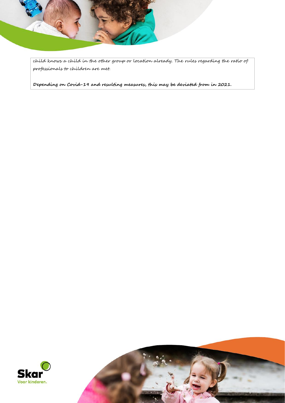

child knows a child in the other group or location already. The rules regarding the ratio of professionals to children are met.

**Depending on Covid-19 and resulting measures, this may be deviated from in 2021.** 



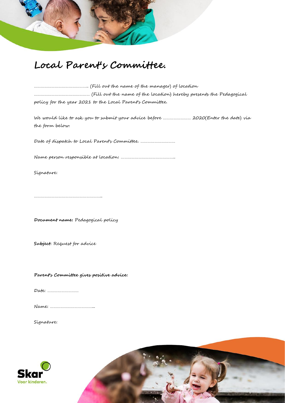

### **Local Parent's Committee.**

| policy for the year 2021 to the Local Parent's Committee. |
|-----------------------------------------------------------|

We would like to ask you to submit your advice before …………………… 2020(Enter the date) via the form below.

Date of dispatch to Local Parent's Committee. …………………………

Name person responsible at location: ………………………………………..

Signature:

…………………………………………………..

**Document name:** Pedagogical policy

**Subject:** Request for advice

**Parent's Committee gives positive advice:**

Date: ………………………

Name: ………………………………...

Signature:



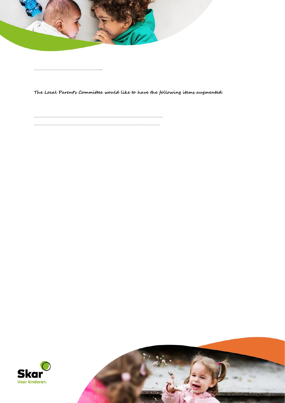

…………………………………………………..

**The Local Parent's Committee would like to have the following items augmented:**

………………………………………………………………………………………………… ………………………………………………………………………………………………



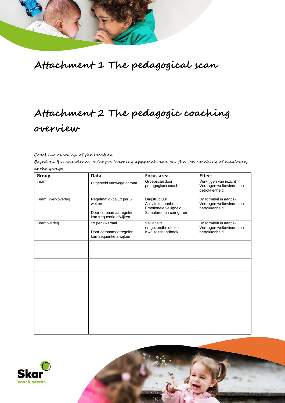

## **Attachment 1 The pedagogical scan**

## **Attachment 2 The pedagogic coaching overview**

Coaching overview of the location.

Based on the experience-oriented learning approach and on-the-job coaching of employees at the group.

| Group             | Data                                                                                  | <b>Focus area</b>                                                                       | <b>Effect</b>                                                       |
|-------------------|---------------------------------------------------------------------------------------|-----------------------------------------------------------------------------------------|---------------------------------------------------------------------|
| Team              | Uitgesteld vanwege corona.                                                            | Groepscan door<br>pedagogisch coach                                                     | Verkrijgen van inzicht<br>Verhogen welbevinden en<br>betrokkenheid  |
| Team. Werkoverleg | Regelmatig (ca 1x per 6<br>weken<br>Door coronamaatregelen<br>kan frequentie afwijken | Dagstructuur<br>Activiteitenaanbod<br>Emotionele veiligheid<br>Stimuleren en corrigeren | Uniformiteit in aanpak.<br>Verhogen welbevinden en<br>betrokkenheid |
| Teamoverleg       | 1x per kwartaal<br>Door coronamaatregelen<br>kan frequentie afwijken                  | Veiligheid<br>en gezondheidbeleid<br>Kwaliteitshandboek                                 | Uniformiteit in aanpak.<br>Verhogen welbevinden en<br>betrokkenheid |
|                   |                                                                                       |                                                                                         |                                                                     |
|                   |                                                                                       |                                                                                         |                                                                     |
|                   |                                                                                       |                                                                                         |                                                                     |
|                   |                                                                                       |                                                                                         |                                                                     |
|                   |                                                                                       |                                                                                         |                                                                     |
|                   |                                                                                       |                                                                                         |                                                                     |